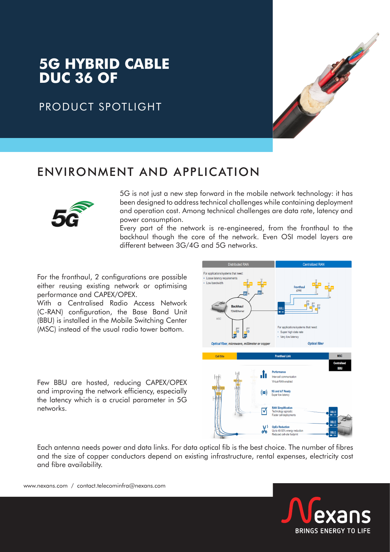# **5G HYBRID CABLE DUC 36 OF**

### PRODUCT SPOTLIGHT



### ENVIRONMENT AND APPLICATION



5G is not just a new step forward in the mobile network technology: it has been designed to address technical challenges while containing deployment and operation cost. Among technical challenges are data rate, latency and power consumption.

Every part of the network is re-engineered, from the fronthaul to the backhaul though the core of the network. Even OSI model layers are different between 3G/4G and 5G networks.

For the fronthaul, 2 configurations are possible either reusing existing network or optimising performance and CAPEX/OPEX.

With a Centralised Radio Access Network (C-RAN) configuration, the Base Band Unit (BBU) is installed in the Mobile Switching Center (MSC) instead of the usual radio tower bottom.

Few BBU are hosted, reducing CAPEX/OPEX and improving the network efficiency, especially the latency which is a crucial parameter in 5G networks.



Each antenna needs power and data links. For data optical fib is the best choice. The number of fibres and the size of copper conductors depend on existing infrastructure, rental expenses, electricity cost and fibre availability.